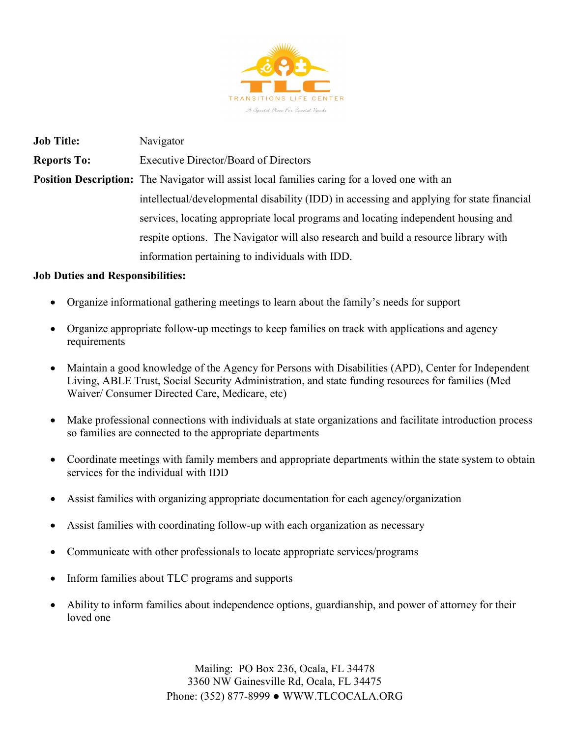

**Job Title:** Navigator **Reports To:** Executive Director/Board of Directors **Position Description:** The Navigator will assist local families caring for a loved one with an intellectual/developmental disability (IDD) in accessing and applying for state financial services, locating appropriate local programs and locating independent housing and respite options. The Navigator will also research and build a resource library with information pertaining to individuals with IDD.

## **Job Duties and Responsibilities:**

- Organize informational gathering meetings to learn about the family's needs for support
- Organize appropriate follow-up meetings to keep families on track with applications and agency requirements
- Maintain a good knowledge of the Agency for Persons with Disabilities (APD), Center for Independent Living, ABLE Trust, Social Security Administration, and state funding resources for families (Med Waiver/ Consumer Directed Care, Medicare, etc)
- Make professional connections with individuals at state organizations and facilitate introduction process so families are connected to the appropriate departments
- Coordinate meetings with family members and appropriate departments within the state system to obtain services for the individual with IDD
- Assist families with organizing appropriate documentation for each agency/organization
- Assist families with coordinating follow-up with each organization as necessary
- Communicate with other professionals to locate appropriate services/programs
- Inform families about TLC programs and supports
- Ability to inform families about independence options, guardianship, and power of attorney for their loved one

Mailing: PO Box 236, Ocala, FL 34478 3360 NW Gainesville Rd, Ocala, FL 34475 Phone: (352) 877-8999 ● WWW.TLCOCALA.ORG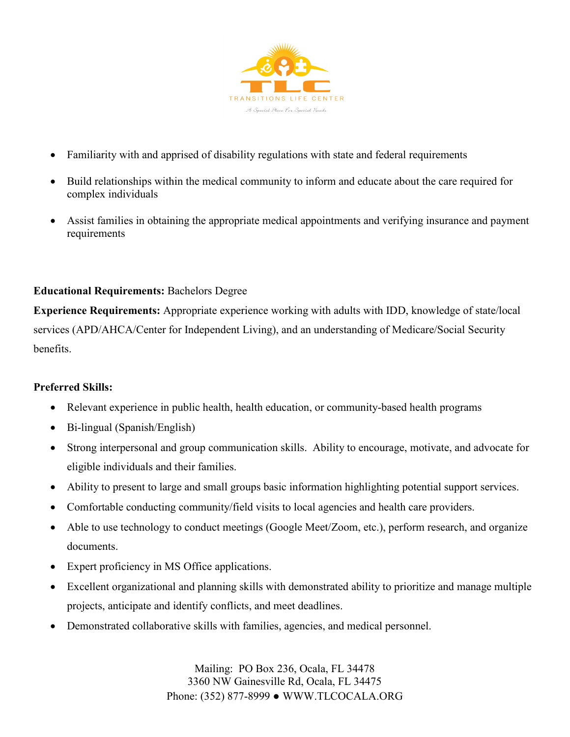

- Familiarity with and apprised of disability regulations with state and federal requirements
- Build relationships within the medical community to inform and educate about the care required for complex individuals
- Assist families in obtaining the appropriate medical appointments and verifying insurance and payment requirements

## **Educational Requirements:** Bachelors Degree

**Experience Requirements:** Appropriate experience working with adults with IDD, knowledge of state/local services (APD/AHCA/Center for Independent Living), and an understanding of Medicare/Social Security benefits.

## **Preferred Skills:**

- Relevant experience in public health, health education, or community-based health programs
- Bi-lingual (Spanish/English)
- Strong interpersonal and group communication skills. Ability to encourage, motivate, and advocate for eligible individuals and their families.
- Ability to present to large and small groups basic information highlighting potential support services.
- Comfortable conducting community/field visits to local agencies and health care providers.
- Able to use technology to conduct meetings (Google Meet/Zoom, etc.), perform research, and organize documents.
- Expert proficiency in MS Office applications.
- Excellent organizational and planning skills with demonstrated ability to prioritize and manage multiple projects, anticipate and identify conflicts, and meet deadlines.
- Demonstrated collaborative skills with families, agencies, and medical personnel.

Mailing: PO Box 236, Ocala, FL 34478 3360 NW Gainesville Rd, Ocala, FL 34475 Phone: (352) 877-8999 ● WWW.TLCOCALA.ORG